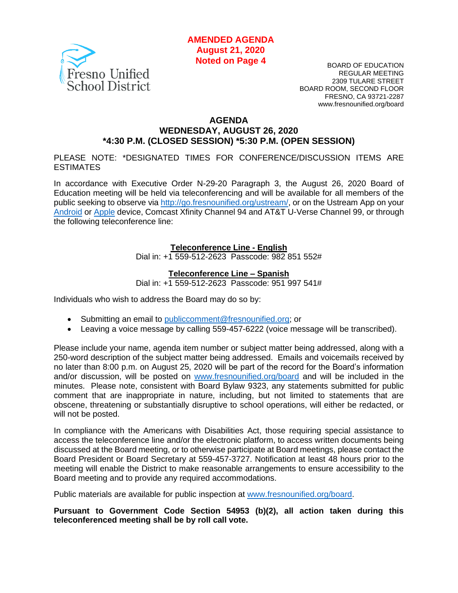

BOARD OF EDUCATION REGULAR MEETING 2309 TULARE STREET BOARD ROOM, SECOND FLOOR FRESNO, CA 93721-2287 www.fresnounified.org/board

#### **AGENDA**

# **WEDNESDAY, AUGUST 26, 2020 \*4:30 P.M. (CLOSED SESSION) \*5:30 P.M. (OPEN SESSION)**

PLEASE NOTE: \*DESIGNATED TIMES FOR CONFERENCE/DISCUSSION ITEMS ARE **ESTIMATES** 

In accordance with Executive Order N-29-20 Paragraph 3, the August 26, 2020 Board of Education meeting will be held via teleconferencing and will be available for all members of the public seeking to observe via [http://go.fresnounified.org/ustream/,](http://go.fresnounified.org/ustream/) or on the Ustream App on your [Android](https://play.google.com/store/apps/details?id=tv.ustream.ustream&hl=en_US) or [Apple](https://itunes.apple.com/us/app/ustream/id301520250?mt=8) device, Comcast Xfinity Channel 94 and AT&T U-Verse Channel 99, or through the following teleconference line:

#### **Teleconference Line - English**

Dial in: +1 559-512-2623 Passcode: 982 851 552#

#### **Teleconference Line – Spanish**

Dial in: +1 559-512-2623 Passcode: 951 997 541#

Individuals who wish to address the Board may do so by:

- Submitting an email to [publiccomment@fresnounified.org;](mailto:publiccomment@fresnounified.org) or
- Leaving a voice message by calling 559-457-6222 (voice message will be transcribed).

Please include your name, agenda item number or subject matter being addressed, along with a 250-word description of the subject matter being addressed. Emails and voicemails received by no later than 8:00 p.m. on August 25, 2020 will be part of the record for the Board's information and/or discussion, will be posted on [www.fresnounified.org/board](http://www.fresnounified.org/board) and will be included in the minutes. Please note, consistent with Board Bylaw 9323, any statements submitted for public comment that are inappropriate in nature, including, but not limited to statements that are obscene, threatening or substantially disruptive to school operations, will either be redacted, or will not be posted.

In compliance with the Americans with Disabilities Act, those requiring special assistance to access the teleconference line and/or the electronic platform, to access written documents being discussed at the Board meeting, or to otherwise participate at Board meetings, please contact the Board President or Board Secretary at 559-457-3727. Notification at least 48 hours prior to the meeting will enable the District to make reasonable arrangements to ensure accessibility to the Board meeting and to provide any required accommodations.

Public materials are available for public inspection at [www.fresnounified.org/board.](http://www.fresnounified.org/board)

**Pursuant to Government Code Section 54953 (b)(2), all action taken during this teleconferenced meeting shall be by roll call vote.**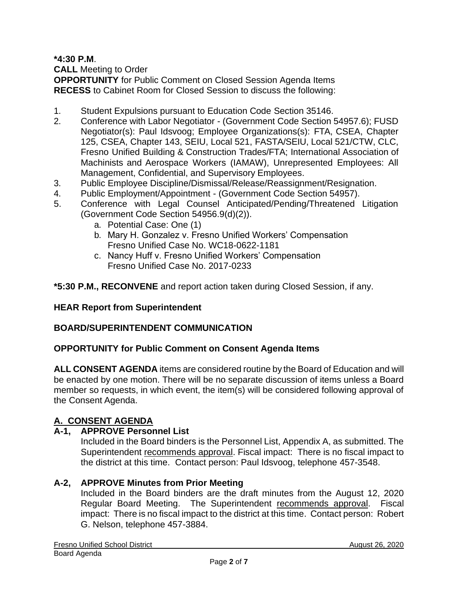**\*4:30 P.M**.

**CALL** Meeting to Order

**OPPORTUNITY** for Public Comment on Closed Session Agenda Items **RECESS** to Cabinet Room for Closed Session to discuss the following:

- 1. Student Expulsions pursuant to Education Code Section 35146.
- 2. Conference with Labor Negotiator (Government Code Section 54957.6); FUSD Negotiator(s): Paul Idsvoog; Employee Organizations(s): FTA, CSEA, Chapter 125, CSEA, Chapter 143, SEIU, Local 521, FASTA/SEIU, Local 521/CTW, CLC, Fresno Unified Building & Construction Trades/FTA; International Association of Machinists and Aerospace Workers (IAMAW), Unrepresented Employees: All Management, Confidential, and Supervisory Employees.
- 3. Public Employee Discipline/Dismissal/Release/Reassignment/Resignation.
- 4. Public Employment/Appointment (Government Code Section 54957).
- 5. Conference with Legal Counsel Anticipated/Pending/Threatened Litigation (Government Code Section 54956.9(d)(2)).
	- a. Potential Case: One (1)
	- b. Mary H. Gonzalez v. Fresno Unified Workers' Compensation Fresno Unified Case No. WC18-0622-1181
	- c. Nancy Huff v. Fresno Unified Workers' Compensation Fresno Unified Case No. 2017-0233

**\*5:30 P.M., RECONVENE** and report action taken during Closed Session, if any.

# **HEAR Report from Superintendent**

# **BOARD/SUPERINTENDENT COMMUNICATION**

# **OPPORTUNITY for Public Comment on Consent Agenda Items**

**ALL CONSENT AGENDA** items are considered routine by the Board of Education and will be enacted by one motion. There will be no separate discussion of items unless a Board member so requests, in which event, the item(s) will be considered following approval of the Consent Agenda.

# **A. CONSENT AGENDA**

# **A-1, APPROVE Personnel List**

Included in the Board binders is the Personnel List, Appendix A, as submitted. The Superintendent recommends approval. Fiscal impact: There is no fiscal impact to the district at this time. Contact person: Paul Idsvoog, telephone 457-3548.

# **A-2, APPROVE Minutes from Prior Meeting**

Included in the Board binders are the draft minutes from the August 12, 2020 Regular Board Meeting. The Superintendent recommends approval. Fiscal impact: There is no fiscal impact to the district at this time. Contact person: Robert G. Nelson, telephone 457-3884.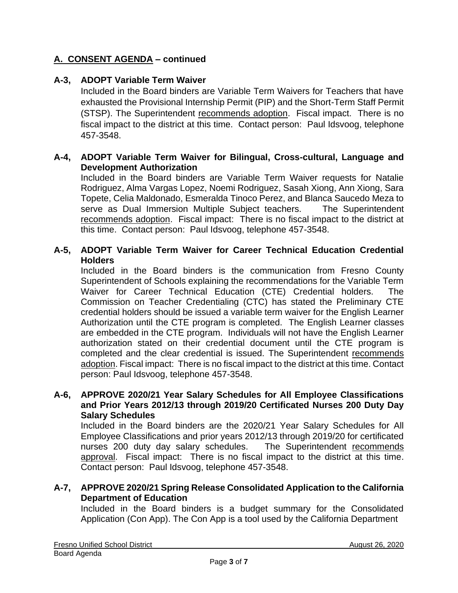# **A. CONSENT AGENDA – continued**

# **A-3, ADOPT Variable Term Waiver**

Included in the Board binders are Variable Term Waivers for Teachers that have exhausted the Provisional Internship Permit (PIP) and the Short-Term Staff Permit (STSP). The Superintendent recommends adoption. Fiscal impact. There is no fiscal impact to the district at this time. Contact person: Paul Idsvoog, telephone 457-3548.

## **A-4, ADOPT Variable Term Waiver for Bilingual, Cross-cultural, Language and Development Authorization**

Included in the Board binders are Variable Term Waiver requests for Natalie Rodriguez, Alma Vargas Lopez, Noemi Rodriguez, Sasah Xiong, Ann Xiong, Sara Topete, Celia Maldonado, Esmeralda Tinoco Perez, and Blanca Saucedo Meza to serve as Dual Immersion Multiple Subject teachers. The Superintendent recommends adoption. Fiscal impact: There is no fiscal impact to the district at this time. Contact person: Paul Idsvoog, telephone 457-3548.

## **A-5, ADOPT Variable Term Waiver for Career Technical Education Credential Holders**

Included in the Board binders is the communication from Fresno County Superintendent of Schools explaining the recommendations for the Variable Term Waiver for Career Technical Education (CTE) Credential holders. The Commission on Teacher Credentialing (CTC) has stated the Preliminary CTE credential holders should be issued a variable term waiver for the English Learner Authorization until the CTE program is completed. The English Learner classes are embedded in the CTE program. Individuals will not have the English Learner authorization stated on their credential document until the CTE program is completed and the clear credential is issued. The Superintendent recommends adoption. Fiscal impact: There is no fiscal impact to the district at this time. Contact person: Paul Idsvoog, telephone 457-3548.

#### **A-6, APPROVE 2020/21 Year Salary Schedules for All Employee Classifications and Prior Years 2012/13 through 2019/20 Certificated Nurses 200 Duty Day Salary Schedules**

Included in the Board binders are the 2020/21 Year Salary Schedules for All Employee Classifications and prior years 2012/13 through 2019/20 for certificated nurses 200 duty day salary schedules. The Superintendent recommends approval. Fiscal impact: There is no fiscal impact to the district at this time. Contact person: Paul Idsvoog, telephone 457-3548.

### **A-7, APPROVE 2020/21 Spring Release Consolidated Application to the California Department of Education**

Included in the Board binders is a budget summary for the Consolidated Application (Con App). The Con App is a tool used by the California Department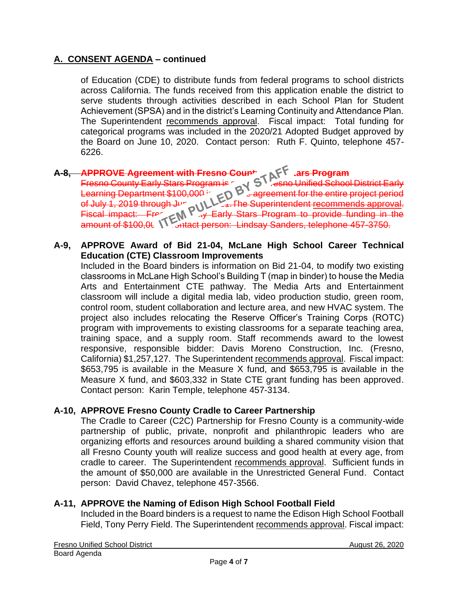# **A. CONSENT AGENDA – continued**

of Education (CDE) to distribute funds from federal programs to school districts across California. The funds received from this application enable the district to serve students through activities described in each School Plan for Student Achievement (SPSA) and in the district's Learning Continuity and Attendance Plan. The Superintendent recommends approval. Fiscal impact: Total funding for categorical programs was included in the 2020/21 Adopted Budget approved by the Board on June 10, 2020. Contact person: Ruth F. Quinto, telephone 457- 6226.

# **A-8, APPROVE Agreement with Fresno County Early Stars Program**

Fresno County Early Stars Program is  $\sim$  S  $^{\circ}$  , esno Unified School District Early Learning Department \$100,000 in a service agreement for the entire project period of July 1, 2019 through June 30, NUME in The Superintendent <u>recommends approval</u>. Fiscal impact: Frequenty Carly Stars Program to provide funding in the amount of \$100,0t. NY Shtact person: Lindsay Sanders, telephone 457-3750.

### **A-9, APPROVE Award of Bid 21-04, McLane High School Career Technical Education (CTE) Classroom Improvements**

Included in the Board binders is information on Bid 21-04, to modify two existing classrooms in McLane High School's Building T (map in binder) to house the Media Arts and Entertainment CTE pathway. The Media Arts and Entertainment classroom will include a digital media lab, video production studio, green room, control room, student collaboration and lecture area, and new HVAC system. The project also includes relocating the Reserve Officer's Training Corps (ROTC) program with improvements to existing classrooms for a separate teaching area, training space, and a supply room. Staff recommends award to the lowest responsive, responsible bidder: Davis Moreno Construction, Inc. (Fresno, California) \$1,257,127. The Superintendent recommends approval. Fiscal impact: \$653,795 is available in the Measure X fund, and \$653,795 is available in the Measure X fund, and \$603,332 in State CTE grant funding has been approved. Contact person: Karin Temple, telephone 457-3134.

# **A-10, APPROVE Fresno County Cradle to Career Partnership**

The Cradle to Career (C2C) Partnership for Fresno County is a community-wide partnership of public, private, nonprofit and philanthropic leaders who are organizing efforts and resources around building a shared community vision that all Fresno County youth will realize success and good health at every age, from cradle to career. The Superintendent recommends approval. Sufficient funds in the amount of \$50,000 are available in the Unrestricted General Fund. Contact person: David Chavez, telephone 457-3566.

# **A-11, APPROVE the Naming of Edison High School Football Field**

Included in the Board binders is a request to name the Edison High School Football Field, Tony Perry Field. The Superintendent recommends approval. Fiscal impact: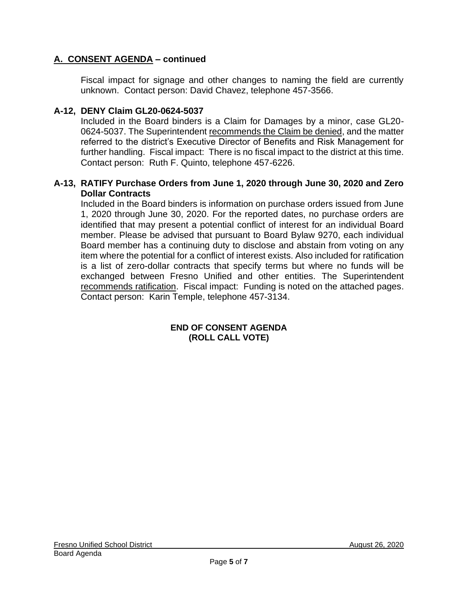# **A. CONSENT AGENDA – continued**

Fiscal impact for signage and other changes to naming the field are currently unknown. Contact person: David Chavez, telephone 457-3566.

# **A-12, DENY Claim GL20-0624-5037**

Included in the Board binders is a Claim for Damages by a minor, case GL20- 0624-5037. The Superintendent recommends the Claim be denied, and the matter referred to the district's Executive Director of Benefits and Risk Management for further handling. Fiscal impact: There is no fiscal impact to the district at this time. Contact person: Ruth F. Quinto, telephone 457-6226.

## **A-13, RATIFY Purchase Orders from June 1, 2020 through June 30, 2020 and Zero Dollar Contracts**

Included in the Board binders is information on purchase orders issued from June 1, 2020 through June 30, 2020. For the reported dates, no purchase orders are identified that may present a potential conflict of interest for an individual Board member. Please be advised that pursuant to Board Bylaw 9270, each individual Board member has a continuing duty to disclose and abstain from voting on any item where the potential for a conflict of interest exists. Also included for ratification is a list of zero-dollar contracts that specify terms but where no funds will be exchanged between Fresno Unified and other entities. The Superintendent recommends ratification. Fiscal impact: Funding is noted on the attached pages. Contact person: Karin Temple, telephone 457-3134.

#### **END OF CONSENT AGENDA (ROLL CALL VOTE)**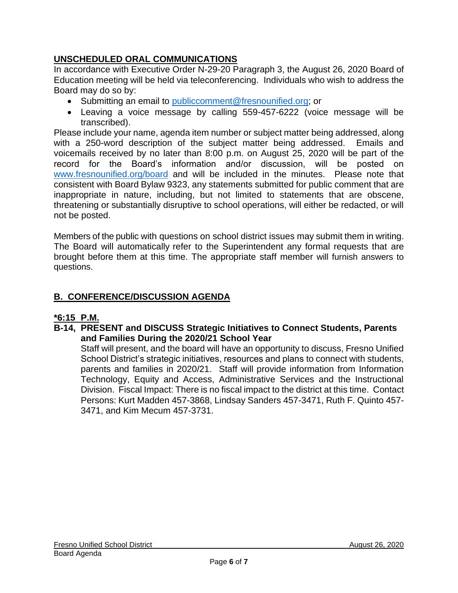# **UNSCHEDULED ORAL COMMUNICATIONS**

In accordance with Executive Order N-29-20 Paragraph 3, the August 26, 2020 Board of Education meeting will be held via teleconferencing. Individuals who wish to address the Board may do so by:

- Submitting an email to [publiccomment@fresnounified.org;](mailto:publiccomment@fresnounified.org) or
- Leaving a voice message by calling 559-457-6222 (voice message will be transcribed).

Please include your name, agenda item number or subject matter being addressed, along with a 250-word description of the subject matter being addressed. Emails and voicemails received by no later than 8:00 p.m. on August 25, 2020 will be part of the record for the Board's information and/or discussion, will be posted on [www.fresnounified.org/board](http://www.fresnounified.org/board) and will be included in the minutes. Please note that consistent with Board Bylaw 9323, any statements submitted for public comment that are inappropriate in nature, including, but not limited to statements that are obscene, threatening or substantially disruptive to school operations, will either be redacted, or will not be posted.

Members of the public with questions on school district issues may submit them in writing. The Board will automatically refer to the Superintendent any formal requests that are brought before them at this time. The appropriate staff member will furnish answers to questions.

# **B. CONFERENCE/DISCUSSION AGENDA**

# **\*6:15 P.M.**

**B-14, PRESENT and DISCUSS Strategic Initiatives to Connect Students, Parents and Families During the 2020/21 School Year**

Staff will present, and the board will have an opportunity to discuss, Fresno Unified School District's strategic initiatives, resources and plans to connect with students, parents and families in 2020/21. Staff will provide information from Information Technology, Equity and Access, Administrative Services and the Instructional Division. Fiscal Impact: There is no fiscal impact to the district at this time. Contact Persons: Kurt Madden 457-3868, Lindsay Sanders 457-3471, Ruth F. Quinto 457- 3471, and Kim Mecum 457-3731.